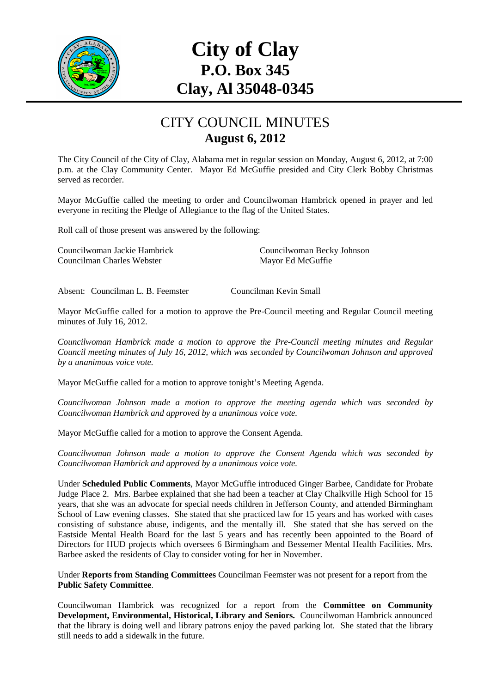

# **City of Clay P.O. Box 345 Clay, Al 35048-0345**

#### CITY COUNCIL MINUTES **August 6, 2012**

The City Council of the City of Clay, Alabama met in regular session on Monday, August 6, 2012, at 7:00 p.m. at the Clay Community Center. Mayor Ed McGuffie presided and City Clerk Bobby Christmas served as recorder.

Mayor McGuffie called the meeting to order and Councilwoman Hambrick opened in prayer and led everyone in reciting the Pledge of Allegiance to the flag of the United States.

Roll call of those present was answered by the following:

Councilwoman Jackie Hambrick Councilwoman Becky Johnson Councilman Charles Webster Mayor Ed McGuffie

Absent: Councilman L. B. Feemster Councilman Kevin Small

Mayor McGuffie called for a motion to approve the Pre-Council meeting and Regular Council meeting minutes of July 16, 2012.

*Councilwoman Hambrick made a motion to approve the Pre-Council meeting minutes and Regular Council meeting minutes of July 16, 2012, which was seconded by Councilwoman Johnson and approved by a unanimous voice vote.* 

Mayor McGuffie called for a motion to approve tonight's Meeting Agenda.

*Councilwoman Johnson made a motion to approve the meeting agenda which was seconded by Councilwoman Hambrick and approved by a unanimous voice vote.* 

Mayor McGuffie called for a motion to approve the Consent Agenda.

*Councilwoman Johnson made a motion to approve the Consent Agenda which was seconded by Councilwoman Hambrick and approved by a unanimous voice vote.* 

Under **Scheduled Public Comments**, Mayor McGuffie introduced Ginger Barbee, Candidate for Probate Judge Place 2. Mrs. Barbee explained that she had been a teacher at Clay Chalkville High School for 15 years, that she was an advocate for special needs children in Jefferson County, and attended Birmingham School of Law evening classes. She stated that she practiced law for 15 years and has worked with cases consisting of substance abuse, indigents, and the mentally ill. She stated that she has served on the Eastside Mental Health Board for the last 5 years and has recently been appointed to the Board of Directors for HUD projects which oversees 6 Birmingham and Bessemer Mental Health Facilities. Mrs. Barbee asked the residents of Clay to consider voting for her in November.

Under **Reports from Standing Committees** Councilman Feemster was not present for a report from the **Public Safety Committee**.

Councilwoman Hambrick was recognized for a report from the **Committee on Community Development, Environmental, Historical, Library and Seniors.** Councilwoman Hambrick announced that the library is doing well and library patrons enjoy the paved parking lot. She stated that the library still needs to add a sidewalk in the future.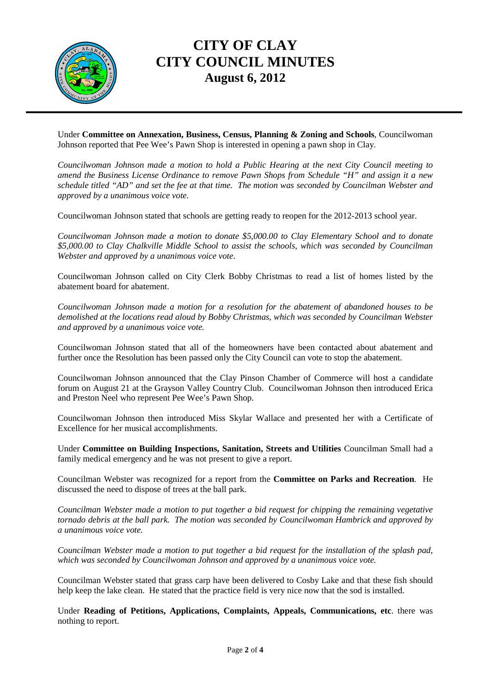

## **CITY OF CLAY CITY COUNCIL MINUTES August 6, 2012**

Under **Committee on Annexation, Business, Census, Planning & Zoning and Schools**, Councilwoman Johnson reported that Pee Wee's Pawn Shop is interested in opening a pawn shop in Clay.

*Councilwoman Johnson made a motion to hold a Public Hearing at the next City Council meeting to amend the Business License Ordinance to remove Pawn Shops from Schedule "H" and assign it a new schedule titled "AD" and set the fee at that time. The motion was seconded by Councilman Webster and approved by a unanimous voice vote.* 

Councilwoman Johnson stated that schools are getting ready to reopen for the 2012-2013 school year.

*Councilwoman Johnson made a motion to donate \$5,000.00 to Clay Elementary School and to donate \$5,000.00 to Clay Chalkville Middle School to assist the schools, which was seconded by Councilman Webster and approved by a unanimous voice vote*.

Councilwoman Johnson called on City Clerk Bobby Christmas to read a list of homes listed by the abatement board for abatement.

*Councilwoman Johnson made a motion for a resolution for the abatement of abandoned houses to be demolished at the locations read aloud by Bobby Christmas, which was seconded by Councilman Webster and approved by a unanimous voice vote.* 

Councilwoman Johnson stated that all of the homeowners have been contacted about abatement and further once the Resolution has been passed only the City Council can vote to stop the abatement.

Councilwoman Johnson announced that the Clay Pinson Chamber of Commerce will host a candidate forum on August 21 at the Grayson Valley Country Club. Councilwoman Johnson then introduced Erica and Preston Neel who represent Pee Wee's Pawn Shop.

Councilwoman Johnson then introduced Miss Skylar Wallace and presented her with a Certificate of Excellence for her musical accomplishments.

Under **Committee on Building Inspections, Sanitation, Streets and Utilities** Councilman Small had a family medical emergency and he was not present to give a report.

Councilman Webster was recognized for a report from the **Committee on Parks and Recreation**. He discussed the need to dispose of trees at the ball park.

*Councilman Webster made a motion to put together a bid request for chipping the remaining vegetative tornado debris at the ball park. The motion was seconded by Councilwoman Hambrick and approved by a unanimous voice vote.* 

*Councilman Webster made a motion to put together a bid request for the installation of the splash pad, which was seconded by Councilwoman Johnson and approved by a unanimous voice vote.* 

Councilman Webster stated that grass carp have been delivered to Cosby Lake and that these fish should help keep the lake clean. He stated that the practice field is very nice now that the sod is installed.

Under **Reading of Petitions, Applications, Complaints, Appeals, Communications, etc**. there was nothing to report.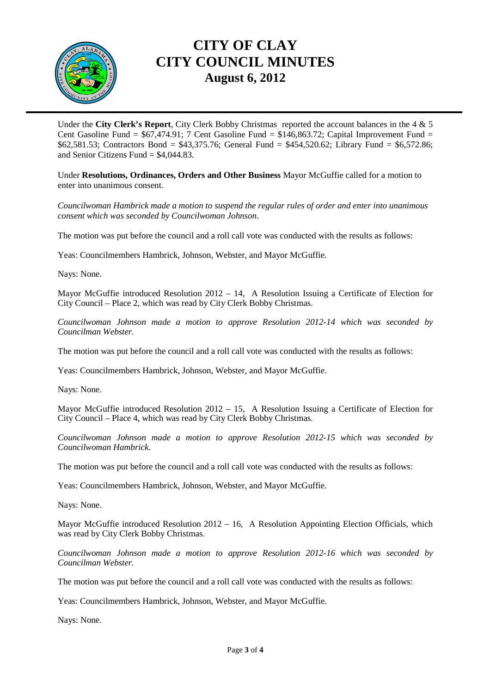

## **CITY OF CLAY CITY COUNCIL MINUTES August 6, 2012**

Under the **City Clerk's Report**, City Clerk Bobby Christmas reported the account balances in the 4 & 5 Cent Gasoline Fund =  $$67,474.91$ ; 7 Cent Gasoline Fund =  $$146,863.72$ ; Capital Improvement Fund = \$62,581.53; Contractors Bond = \$43,375.76; General Fund = \$454,520.62; Library Fund = \$6,572.86; and Senior Citizens Fund  $= $4.044.83$ .

Under **Resolutions, Ordinances, Orders and Other Business** Mayor McGuffie called for a motion to enter into unanimous consent.

*Councilwoman Hambrick made a motion to suspend the regular rules of order and enter into unanimous consent which was seconded by Councilwoman Johnson*.

The motion was put before the council and a roll call vote was conducted with the results as follows:

Yeas: Councilmembers Hambrick, Johnson, Webster, and Mayor McGuffie.

Nays: None.

Mayor McGuffie introduced Resolution 2012 – 14, A Resolution Issuing a Certificate of Election for City Council – Place 2, which was read by City Clerk Bobby Christmas.

*Councilwoman Johnson made a motion to approve Resolution 2012-14 which was seconded by Councilman Webster.* 

The motion was put before the council and a roll call vote was conducted with the results as follows:

Yeas: Councilmembers Hambrick, Johnson, Webster, and Mayor McGuffie.

Nays: None.

Mayor McGuffie introduced Resolution 2012 – 15, A Resolution Issuing a Certificate of Election for City Council – Place 4, which was read by City Clerk Bobby Christmas.

*Councilwoman Johnson made a motion to approve Resolution 2012-15 which was seconded by Councilwoman Hambrick.* 

The motion was put before the council and a roll call vote was conducted with the results as follows:

Yeas: Councilmembers Hambrick, Johnson, Webster, and Mayor McGuffie.

Nays: None.

Mayor McGuffie introduced Resolution 2012 – 16, A Resolution Appointing Election Officials, which was read by City Clerk Bobby Christmas.

*Councilwoman Johnson made a motion to approve Resolution 2012-16 which was seconded by Councilman Webster.* 

The motion was put before the council and a roll call vote was conducted with the results as follows:

Yeas: Councilmembers Hambrick, Johnson, Webster, and Mayor McGuffie.

Nays: None.